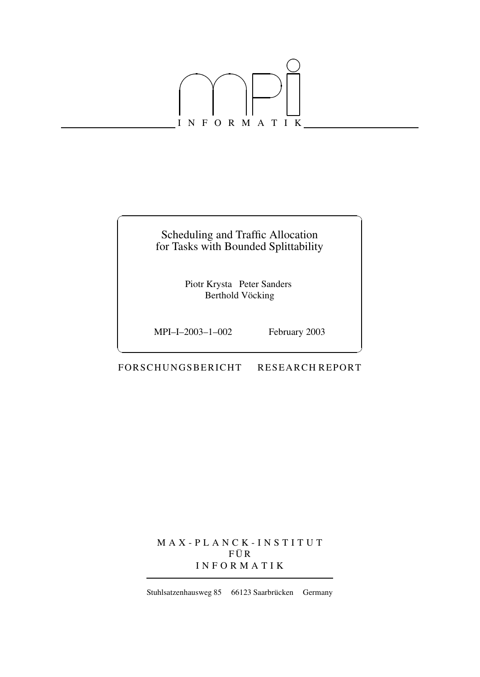

### Scheduling and Traffic Allocation for Tasks with Bounded Splittability

 $\overline{\phantom{a}}$  . The contract of the contract of the contract of the contract of the contract of the contract of the contract of the contract of the contract of the contract of the contract of the contract of the contract of

Piotr Krysta Peter Sanders Berthold Vöcking

MPI–I–2003–1–002 February 2003

FOR SCHUNGSBERICHT RESEARCH REPORT

M A X - P L A N C K - I N S T I T U T  $F \ddot{U} R$ I N F O R M A T I K

Stuhlsatzenhausweg 85 66123 Saarbrücken Germany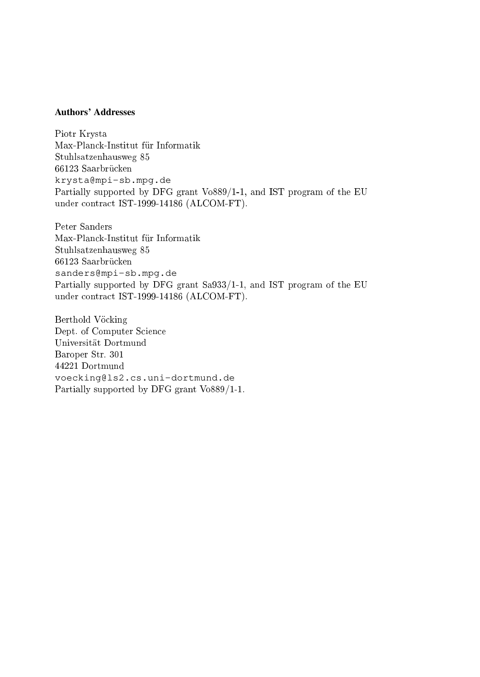#### **Authors' Addresses**

Piotr Krysta Max-Planck-Institut für Informatik Stuhlsatzenhausweg 85 66123 Saarbrücken krysta@mpi-sb.mpg.de Partially supported by DFG grant Vo889/1-1, and IST program of the EU under ontra
t IST-1999-14186 (ALCOM-FT).

Max-Planck-Institut für Informatik Stuhlsatzenhausweg 85 66123 Saarbrücken sanders@mpi-sb.mpg.de Partially supported by DFG grant Sa933/1-1, and IST program of the EU under ontra
t IST-1999-14186 (ALCOM-FT).

Berthold Vöcking Dept. of Computer S
ien
e Universitat Dortmund Baroper Str. 301 44221 Dortmund voecking@ls2.cs.uni-dortmund.de Partially supported by DFG grant Vo889/1-1.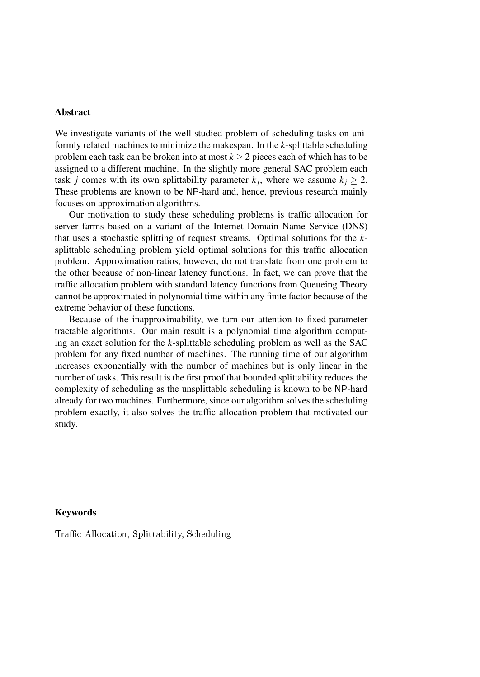#### **Abstract**

We investigate variants of the well studied problem of scheduling tasks on uniformly related machines to minimize the makespan. In the *k*-splittable scheduling problem each task can be broken into at most  $k \geq 2$  pieces each of which has to be assigned to a different machine. In the slightly more general SAC problem each task *j* comes with its own splittability parameter  $k_j$ , where we assume  $k_j \geq 2$ . These problems are known to be NP-hard and, hence, previous research mainly focuses on approximation algorithms.

Our motivation to study these scheduling problems is traffic allocation for server farms based on a variant of the Internet Domain Name Service (DNS) that uses a stochastic splitting of request streams. Optimal solutions for the *k*splittable scheduling problem yield optimal solutions for this traffic allocation problem. Approximation ratios, however, do not translate from one problem to the other because of non-linear latency functions. In fact, we can prove that the traffic allocation problem with standard latency functions from Queueing Theory cannot be approximated in polynomial time within any finite factor because of the extreme behavior of these functions.

Because of the inapproximability, we turn our attention to fixed-parameter tractable algorithms. Our main result is a polynomial time algorithm computing an exact solution for the *k*-splittable scheduling problem as well as the SAC problem for any fixed number of machines. The running time of our algorithm increases exponentially with the number of machines but is only linear in the number of tasks. This result is the first proof that bounded splittability reduces the complexity of scheduling as the unsplittable scheduling is known to be NP-hard already for two machines. Furthermore, since our algorithm solves the scheduling problem exactly, it also solves the traffic allocation problem that motivated our study.

#### **Keywords**

Traffic Allocation, Splittability, Scheduling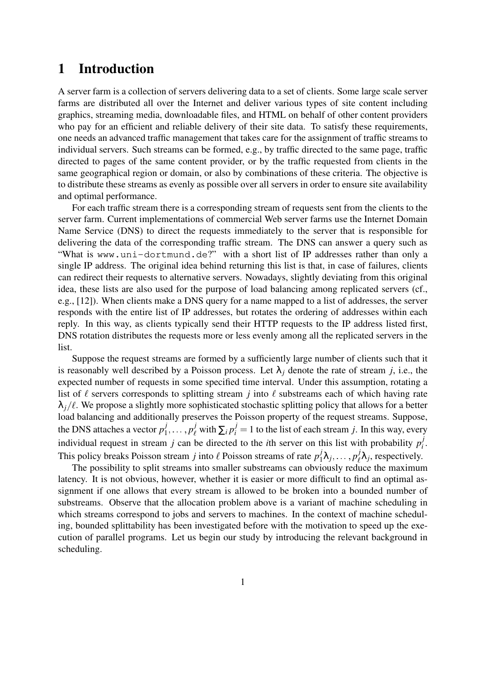# **1 Introduction**

A server farm is a collection of servers delivering data to a set of clients. Some large scale server farms are distributed all over the Internet and deliver various types of site content including graphics, streaming media, downloadable files, and HTML on behalf of other content providers who pay for an efficient and reliable delivery of their site data. To satisfy these requirements, one needs an advanced traffic management that takes care for the assignment of traffic streams to individual servers. Such streams can be formed, e.g., by traffic directed to the same page, traffic directed to pages of the same content provider, or by the traffic requested from clients in the same geographical region or domain, or also by combinations of these criteria. The objective is to distribute these streams as evenly as possible over all servers in order to ensure site availability and optimal performance.

For each traffic stream there is a corresponding stream of requests sent from the clients to the server farm. Current implementations of commercial Web server farms use the Internet Domain Name Service (DNS) to direct the requests immediately to the server that is responsible for delivering the data of the corresponding traffic stream. The DNS can answer a query such as "What is www.uni-dortmund.de?" with a short list of IP addresses rather than only a single IP address. The original idea behind returning this list is that, in case of failures, clients can redirect their requests to alternative servers. Nowadays, slightly deviating from this original idea, these lists are also used for the purpose of load balancing among replicated servers (cf., e.g., [12]). When clients make a DNS query for a name mapped to a list of addresses, the server responds with the entire list of IP addresses, but rotates the ordering of addresses within each reply. In this way, as clients typically send their HTTP requests to the IP address listed first, DNS rotation distributes the requests more or less evenly among all the replicated servers in the list.

Suppose the request streams are formed by a sufficiently large number of clients such that it is reasonably well described by a Poisson process. Let  $\lambda_j$  denote the rate of stream *j*, i.e., the expected number of requests in some specified time interval. Under this assumption, rotating a list of  $\ell$  servers corresponds to splitting stream *j* into  $\ell$  substreams each of which having rate  $\lambda_i/\ell$ . We propose a slightly more sophisticated stochastic splitting policy that allows for a better load balancing and additionally preserves the Poisson property of the request streams. Suppose, the DNS attaches a vector  $p_1^j$  $j_1, \ldots, p_\ell^j$  with  $\sum_i p_i^j = 1$  to the list of each stream *j*. In this way, every individual request in stream *j* can be directed to the *i*th server on this list with probability  $p_i^j$ *i* . This policy breaks Poisson stream *j* into  $\ell$  Poisson streams of rate  $p_1^j$  $i_1 \lambda_j, \ldots, p_\ell^j \lambda_j$ , respectively.

The possibility to split streams into smaller substreams can obviously reduce the maximum latency. It is not obvious, however, whether it is easier or more difficult to find an optimal assignment if one allows that every stream is allowed to be broken into a bounded number of substreams. Observe that the allocation problem above is a variant of machine scheduling in which streams correspond to jobs and servers to machines. In the context of machine scheduling, bounded splittability has been investigated before with the motivation to speed up the execution of parallel programs. Let us begin our study by introducing the relevant background in scheduling.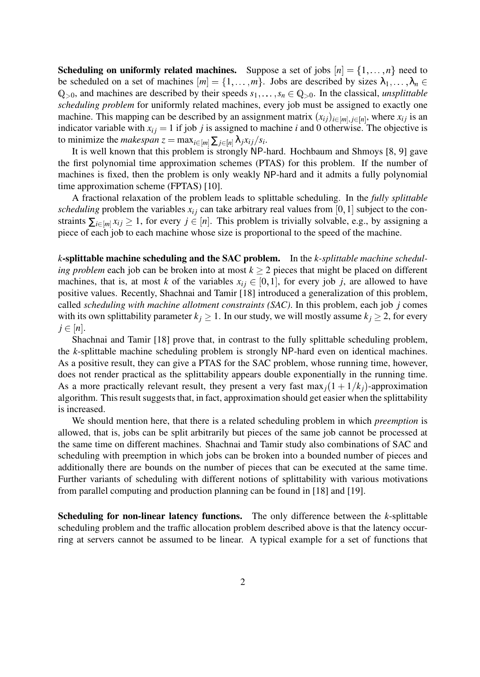**Scheduling on uniformly related machines.** Suppose a set of jobs  $[n] = \{1, \ldots, n\}$  need to be scheduled on a set of machines  $[m] = \{1, \ldots, m\}$ . Jobs are described by sizes  $\lambda_1, \ldots, \lambda_n \in$  $\mathbb{Q}_{>0}$ , and machines are described by their speeds  $s_1, \ldots, s_n \in \mathbb{Q}_{>0}$ . In the classical, *unsplittable scheduling problem* for uniformly related machines, every job must be assigned to exactly one machine. This mapping can be described by an assignment matrix  $(x_{ij})_{i \in [m], j \in [n]}$ , where  $x_{ij}$  is an indicator variable with  $x_{ij} = 1$  if job *j* is assigned to machine *i* and 0 otherwise. The objective is to minimize the *makespan*  $z = \max_{i \in [m]} \sum_{j \in [n]} \lambda_j x_{ij} / s_i$ .

It is well known that this problem is strongly NP-hard. Hochbaum and Shmoys [8, 9] gave the first polynomial time approximation schemes (PTAS) for this problem. If the number of machines is fixed, then the problem is only weakly NP-hard and it admits a fully polynomial time approximation scheme (FPTAS) [10].

A fractional relaxation of the problem leads to splittable scheduling. In the *fully splittable scheduling* problem the variables  $x_i$  can take arbitrary real values from [0, 1] subject to the constraints  $\sum_{i \in [m]} x_{ij} \geq 1$ , for every  $j \in [n]$ . This problem is trivially solvable, e.g., by assigning a piece of each job to each machine whose size is proportional to the speed of the machine.

*k***-splittable machine scheduling and the SAC problem.** In the *k-splittable machine scheduling problem* each job can be broken into at most  $k > 2$  pieces that might be placed on different machines, that is, at most *k* of the variables  $x_{ij} \in [0,1]$ , for every job *j*, are allowed to have positive values. Recently, Shachnai and Tamir [18] introduced a generalization of this problem, called *scheduling with machine allotment constraints (SAC)*. In this problem, each job *j* comes with its own splittability parameter  $k_j \geq 1$ . In our study, we will mostly assume  $k_j \geq 2$ , for every  $j \in [n]$ .

Shachnai and Tamir [18] prove that, in contrast to the fully splittable scheduling problem, the *k*-splittable machine scheduling problem is strongly NP-hard even on identical machines. As a positive result, they can give a PTAS for the SAC problem, whose running time, however, does not render practical as the splittability appears double exponentially in the running time. As a more practically relevant result, they present a very fast max<sub>*i*</sub>(1+1/ $k$ <sub>*j*</sub>)-approximation algorithm. This result suggests that, in fact, approximation should get easier when the splittability is increased.

We should mention here, that there is a related scheduling problem in which *preemption* is allowed, that is, jobs can be split arbitrarily but pieces of the same job cannot be processed at the same time on different machines. Shachnai and Tamir study also combinations of SAC and scheduling with preemption in which jobs can be broken into a bounded number of pieces and additionally there are bounds on the number of pieces that can be executed at the same time. Further variants of scheduling with different notions of splittability with various motivations from parallel computing and production planning can be found in [18] and [19].

**Scheduling for non-linear latency functions.** The only difference between the *k*-splittable scheduling problem and the traffic allocation problem described above is that the latency occurring at servers cannot be assumed to be linear. A typical example for a set of functions that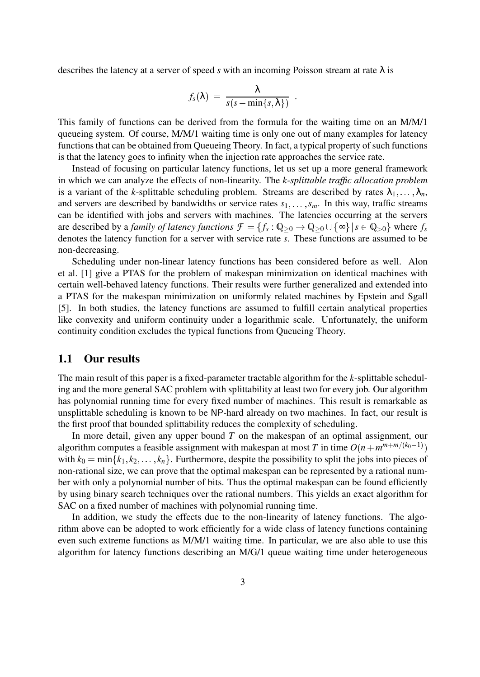describes the latency at a server of speed *s* with an incoming Poisson stream at rate  $\lambda$  is

$$
f_s(\lambda) = \frac{\lambda}{s(s - \min\{s, \lambda\})}
$$

This family of functions can be derived from the formula for the waiting time on an M/M/1 queueing system. Of course, M/M/1 waiting time is only one out of many examples for latency functions that can be obtained from Queueing Theory. In fact, a typical property of such functions is that the latency goes to infinity when the injection rate approaches the service rate.

Instead of focusing on particular latency functions, let us set up a more general framework in which we can analyze the effects of non-linearity. The *k-splittable traffic allocation problem* is a variant of the *k*-splittable scheduling problem. Streams are described by rates  $\lambda_1, \ldots, \lambda_n$ , and servers are described by bandwidths or service rates  $s_1, \ldots, s_m$ . In this way, traffic streams can be identified with jobs and servers with machines. The latencies occurring at the servers are described by a *family of latency functions*  $\mathcal{F} = \{f_s : \mathbb{Q}_{\geq 0} \to \mathbb{Q}_{\geq 0} \cup \{\infty\} | s \in \mathbb{Q}_{>0}\}\$  where  $f_s$ denotes the latency function for a server with service rate *s*. These functions are assumed to be non-decreasing.

Scheduling under non-linear latency functions has been considered before as well. Alon et al. [1] give a PTAS for the problem of makespan minimization on identical machines with certain well-behaved latency functions. Their results were further generalized and extended into a PTAS for the makespan minimization on uniformly related machines by Epstein and Sgall [5]. In both studies, the latency functions are assumed to fulfill certain analytical properties like convexity and uniform continuity under a logarithmic scale. Unfortunately, the uniform continuity condition excludes the typical functions from Queueing Theory.

### **1.1 Our results**

The main result of this paper is a fixed-parameter tractable algorithm for the *k*-splittable scheduling and the more general SAC problem with splittability at least two for every job. Our algorithm has polynomial running time for every fixed number of machines. This result is remarkable as unsplittable scheduling is known to be NP-hard already on two machines. In fact, our result is the first proof that bounded splittability reduces the complexity of scheduling.

In more detail, given any upper bound *T* on the makespan of an optimal assignment, our algorithm computes a feasible assignment with makespan at most *T* in time  $O(n + m^{m+m/(k_0-1)})$ with  $k_0 = \min\{k_1, k_2, \dots, k_n\}$ . Furthermore, despite the possibility to split the jobs into pieces of non-rational size, we can prove that the optimal makespan can be represented by a rational number with only a polynomial number of bits. Thus the optimal makespan can be found efficiently by using binary search techniques over the rational numbers. This yields an exact algorithm for SAC on a fixed number of machines with polynomial running time.

In addition, we study the effects due to the non-linearity of latency functions. The algorithm above can be adopted to work efficiently for a wide class of latency functions containing even such extreme functions as M/M/1 waiting time. In particular, we are also able to use this algorithm for latency functions describing an M/G/1 queue waiting time under heterogeneous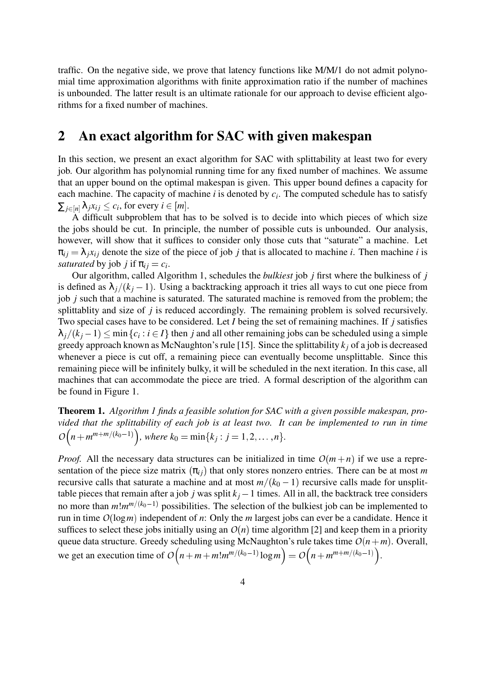traffic. On the negative side, we prove that latency functions like M/M/1 do not admit polynomial time approximation algorithms with finite approximation ratio if the number of machines is unbounded. The latter result is an ultimate rationale for our approach to devise efficient algorithms for a fixed number of machines.

### **2 An exact algorithm for SAC with given makespan**

In this section, we present an exact algorithm for SAC with splittability at least two for every job. Our algorithm has polynomial running time for any fixed number of machines. We assume that an upper bound on the optimal makespan is given. This upper bound defines a capacity for each machine. The capacity of machine *i* is denoted by *c<sup>i</sup>* . The computed schedule has to satisfy  $\sum_{j \in [n]} \lambda_j x_{ij} \le c_i$ , for every  $i \in [m]$ .

A difficult subproblem that has to be solved is to decide into which pieces of which size the jobs should be cut. In principle, the number of possible cuts is unbounded. Our analysis, however, will show that it suffices to consider only those cuts that "saturate" a machine. Let  $\pi_{ij} = \lambda_j x_{ij}$  denote the size of the piece of job *j* that is allocated to machine *i*. Then machine *i* is *saturated* by job *j* if  $\pi_{ij} = c_i$ .

Our algorithm, called Algorithm 1, schedules the *bulkiest* job *j* first where the bulkiness of *j* is defined as  $\lambda_i/(k_i-1)$ . Using a backtracking approach it tries all ways to cut one piece from job *j* such that a machine is saturated. The saturated machine is removed from the problem; the splittablity and size of *j* is reduced accordingly. The remaining problem is solved recursively. Two special cases have to be considered. Let *I* being the set of remaining machines. If *j* satisfies  $\lambda_j/(k_j-1) \le \min\{c_i : i \in I\}$  then *j* and all other remaining jobs can be scheduled using a simple greedy approach known as McNaughton's rule [15]. Since the splittability *k<sup>j</sup>* of a job is decreased whenever a piece is cut off, a remaining piece can eventually become unsplittable. Since this remaining piece will be infinitely bulky, it will be scheduled in the next iteration. In this case, all machines that can accommodate the piece are tried. A formal description of the algorithm can be found in Figure 1.

**Theorem 1.** *Algorithm 1 finds a feasible solution for SAC with a given possible makespan, provided that the splittability of each job is at least two. It can be implemented to run in time*  $O(n + m^{m+m/(k_0-1)})$ , where  $k_0 = \min\{k_j : j = 1, 2, ..., n\}$ .

*Proof.* All the necessary data structures can be initialized in time  $O(m+n)$  if we use a representation of the piece size matrix  $(\pi_{ij})$  that only stores nonzero entries. There can be at most *m* recursive calls that saturate a machine and at most  $m/(k_0 - 1)$  recursive calls made for unsplittable pieces that remain after a job *j* was split  $k_j - 1$  times. All in all, the backtrack tree considers no more than  $m!m^{m/(k_0-1)}$  possibilities. The selection of the bulkiest job can be implemented to run in time *O* (log*m*) independent of *n*: Only the *m* largest jobs can ever be a candidate. Hence it suffices to select these jobs initially using an  $O(n)$  time algorithm [2] and keep them in a priority queue data structure. Greedy scheduling using McNaughton's rule takes time  $O(n+m)$ . Overall, we get an execution time of  $O(n+m+m!m^{m/(k_0-1)}\log m) = O(n+m^{m+m/(k_0-1)})$ .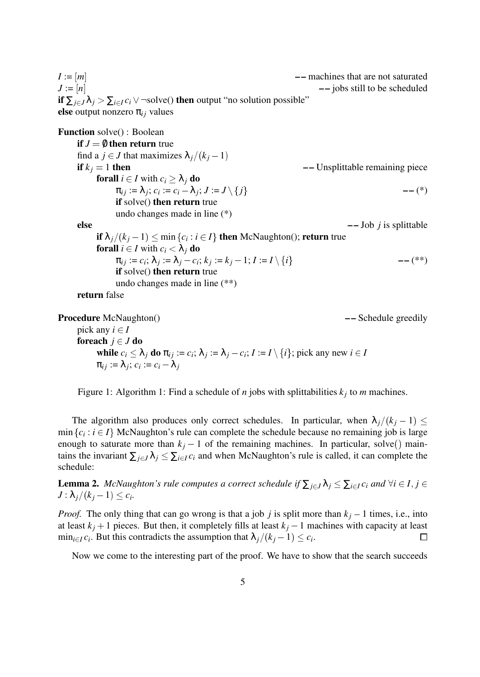$I := [m]$  –– machines that are not saturated  $J := [n]$   $\qquad \qquad \text{–-}$  jobs still to be scheduled **if**  $\sum_{i \in J} \lambda_i > \sum_{i \in I} c_i \vee \neg \text{solve}$  **then** output "no solution possible" **else** output nonzero  $\pi_{ij}$  values

**Function** solve() : Boolean **if**  $J = \emptyset$  **then return** true find a  $j \in J$  that maximizes  $\lambda_j/(k_j-1)$ **if**  $k_j = 1$  **then ––** Unsplittable remaining piece **forall**  $i \in I$  with  $c_i \geq \lambda_j$  **do**  $\pi_{ij} := \lambda_j; c_i := c_i - \lambda_j; J := J \setminus \{j\}$  -- (\*) **if** solve() **then return** true undo changes made in line (\*) **else – –** Job *j* is splittable **if**  $\lambda_j/(k_j-1) \le \min\{c_i : i \in I\}$  **then** McNaughton(); **return** true **forall**  $i \in I$  with  $c_i < \lambda_j$  **do**  $\pi_{ij} := c_i; \lambda_j := \lambda_j - c_i; k_j := k_j - 1; I := I \setminus \{i\}$  -- (\*\*) **if** solve() **then return** true undo changes made in line (\*\*) **return** false

**Procedure** McNaughton() *––* Schedule greedily pick any  $i \in I$ **foreach**  $j \in J$  **do while**  $c_i \leq \lambda_j$  do  $\pi_{ij} := c_i$ ;  $\lambda_j := \lambda_j - c_i$ ;  $I := I \setminus \{i\}$ ; pick any new  $i \in I$  $\pi_{ij} := \lambda_j; \, c_i := c_i - \lambda_j$ 

Figure 1: Algorithm 1: Find a schedule of *n* jobs with splittabilities  $k_j$  to *m* machines.

The algorithm also produces only correct schedules. In particular, when  $\lambda_i/(k_i-1) \leq$  $\min\{c_i : i \in I\}$  McNaughton's rule can complete the schedule because no remaining job is large enough to saturate more than  $k_j - 1$  of the remaining machines. In particular, solve() maintains the invariant  $\sum_{i\in J}\lambda_i \leq \sum_{i\in I}c_i$  and when McNaughton's rule is called, it can complete the schedule:

**Lemma 2.** *McNaughton's rule computes a correct schedule if*  $\sum_{i\in J} \lambda_i \leq \sum_{i\in I} c_i$  *and*  $\forall i \in I, j \in J$  $J : \lambda_j/(k_j-1) \leq c_i$ .

*Proof.* The only thing that can go wrong is that a job *j* is split more than  $k_j - 1$  times, i.e., into at least  $k_j + 1$  pieces. But then, it completely fills at least  $k_j - 1$  machines with capacity at least  $\min_{i \in I} c_i$ . But this contradicts the assumption that  $\lambda_j/(k_j-1) \leq c_i$ .  $\Box$ 

Now we come to the interesting part of the proof. We have to show that the search succeeds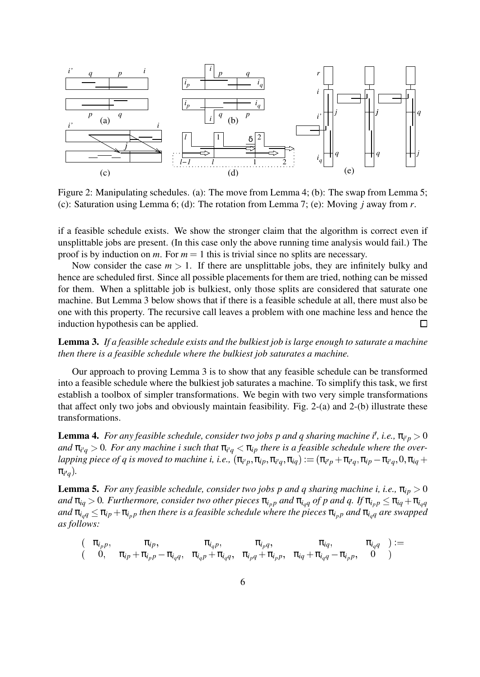

Figure 2: Manipulating schedules. (a): The move from Lemma 4; (b): The swap from Lemma 5; (c): Saturation using Lemma 6; (d): The rotation from Lemma 7; (e): Moving *j* away from *r*.

if a feasible schedule exists. We show the stronger claim that the algorithm is correct even if unsplittable jobs are present. (In this case only the above running time analysis would fail.) The proof is by induction on *m*. For  $m = 1$  this is trivial since no splits are necessary.

Now consider the case  $m > 1$ . If there are unsplittable jobs, they are infinitely bulky and hence are scheduled first. Since all possible placements for them are tried, nothing can be missed for them. When a splittable job is bulkiest, only those splits are considered that saturate one machine. But Lemma 3 below shows that if there is a feasible schedule at all, there must also be one with this property. The recursive call leaves a problem with one machine less and hence the induction hypothesis can be applied.  $\Box$ 

**Lemma 3.** *If a feasible schedule exists and the bulkiest job is large enough to saturate a machine then there is a feasible schedule where the bulkiest job saturates a machine.*

Our approach to proving Lemma 3 is to show that any feasible schedule can be transformed into a feasible schedule where the bulkiest job saturates a machine. To simplify this task, we first establish a toolbox of simpler transformations. We begin with two very simple transformations that affect only two jobs and obviously maintain feasibility. Fig. 2-(a) and 2-(b) illustrate these transformations.

**Lemma 4.** For any feasible schedule, consider two jobs p and q sharing machine i<sup>t</sup>, i.e.,  $\pi_{i'p} > 0$ and  $\pi_{i'q} > 0$ . For any machine i such that  $\pi_{i'q} < \pi_{ip}$  there is a feasible schedule where the over $l$ apping piece of  $q$  is moved to machine i, i.e.,  $(\pi_{i'p},\pi_{ip},\pi_{i'q},\pi_{iq}) := (\pi_{i'p}+\pi_{i'q},\pi_{ip}-\pi_{i'q},0,\pi_{iq}+1)$  $\pi_{i'q}).$ 

**Lemma 5.** *For any feasible schedule, consider two jobs p and q sharing machine i, i.e.,*  $\pi_{ip} > 0$ *and*  $\pi_{iq} > 0$ *. Furthermore, consider two other pieces*  $\pi_{i_p p}$  *and*  $\pi_{i_q q}$  *of p and q. If*  $\pi_{i_p p} \leq \pi_{i_q} + \pi_{i_q q}$  $\int$  *and*  $\pi_{i_q} \leq \pi_{ip} + \pi_{i_p}$  *then there is a feasible schedule where the pieces*  $\pi_{i_p}$  *and*  $\pi_{i_q}$  *are swapped as follows:*

$$
\left(\begin{array}{cccc}\n\pi_{i_p p}, & \pi_{i_p}, & \pi_{i_q p}, & \pi_{i_p q}, & \pi_{i_q}, & \pi_{i_q q}\n\end{array}\right) := \n\left(\begin{array}{cccc}\n0, & \pi_{i_p} + \pi_{i_p p}, & \pi_{i_q p} + \pi_{i_q q}, & \pi_{i_p q} + \pi_{i_p p}, & \pi_{i_q} + \pi_{i_q q} - \pi_{i_p p}, & 0\n\end{array}\right)
$$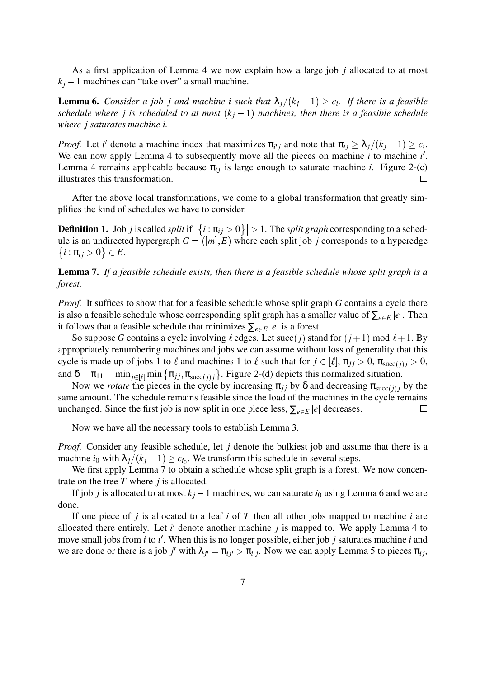As a first application of Lemma 4 we now explain how a large job *j* allocated to at most  $k_j - 1$  machines can "take over" a small machine.

**Lemma 6.** *Consider a job j and machine i such that*  $\lambda_j/(k_j-1) \ge c_i$ . If there is a feasible *schedule where j is scheduled to at most*  $(k<sub>j</sub> - 1)$  *machines, then there is a feasible schedule where j saturates machine i.*

*Proof.* Let *i*' denote a machine index that maximizes  $\pi_{i'j}$  and note that  $\pi_{ij} \geq \lambda_j/(k_j - 1) \geq c_i$ . We can now apply Lemma 4 to subsequently move all the pieces on machine *i* to machine *i'*. Lemma 4 remains applicable because  $\pi_{ij}$  is large enough to saturate machine *i*. Figure 2-(c) illustrates this transformation.  $\Box$ 

After the above local transformations, we come to a global transformation that greatly simplifies the kind of schedules we have to consider.

**Definition 1.** Job *j* is called *split* if  $|\{i : \pi_{ij} > 0\}| > 1$ . The *split graph* corresponding to a schedule is an undirected hypergraph  $G = ([m], E)$  where each split job *j* corresponds to a hyperedge  $\{i : \pi_{ij} > 0\} \in E$ .

### **Lemma 7.** *If a feasible schedule exists, then there is a feasible schedule whose split graph is a forest.*

*Proof.* It suffices to show that for a feasible schedule whose split graph *G* contains a cycle there is also a feasible schedule whose corresponding split graph has a smaller value of  $\sum_{e \in E} |e|$ . Then it follows that a feasible schedule that minimizes  $\sum_{e \in E} |e|$  is a forest.

So suppose *G* contains a cycle involving  $\ell$  edges. Let succ(*j*) stand for ( $j+1$ ) mod  $\ell+1$ . By appropriately renumbering machines and jobs we can assume without loss of generality that this cycle is made up of jobs 1 to  $\ell$  and machines 1 to  $\ell$  such that for  $j \in [\ell], \pi_{ij} > 0, \pi_{succ(i)i} > 0$ , and  $\delta = \pi_{11} = \min_{j \in [\ell]} \min \left\{ \pi_{jj}, \pi_{\text{succ}(j)j} \right\}$ . Figure 2-(d) depicts this normalized situation.

Now we *rotate* the pieces in the cycle by increasing  $\pi_{ij}$  by  $\delta$  and decreasing  $\pi_{succ(i)j}$  by the same amount. The schedule remains feasible since the load of the machines in the cycle remains unchanged. Since the first job is now split in one piece less,  $\sum_{e \in E} |e|$  decreases.  $\Box$ 

Now we have all the necessary tools to establish Lemma 3.

*Proof.* Consider any feasible schedule, let *j* denote the bulkiest job and assume that there is a machine  $i_0$  with  $\lambda_j/(k_j - 1) \ge c_{i_0}$ . We transform this schedule in several steps.

We first apply Lemma 7 to obtain a schedule whose split graph is a forest. We now concentrate on the tree *T* where *j* is allocated.

If job *j* is allocated to at most  $k_j - 1$  machines, we can saturate  $i_0$  using Lemma 6 and we are done.

If one piece of *j* is allocated to a leaf *i* of *T* then all other jobs mapped to machine *i* are allocated there entirely. Let  $i'$  denote another machine  $j$  is mapped to. We apply Lemma 4 to move small jobs from *i* to *i*'. When this is no longer possible, either job *j* saturates machine *i* and we are done or there is a job *j'* with  $\lambda_{j'} = \pi_{ij'} > \pi_{i'j}$ . Now we can apply Lemma 5 to pieces  $\pi_{ij}$ ,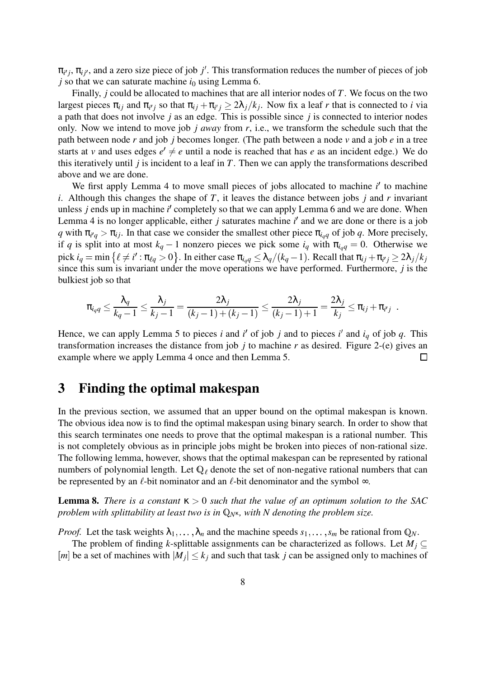$\pi_{i'j}$ ,  $\pi_{ij'}$ , and a zero size piece of job *j'*. This transformation reduces the number of pieces of job  $j$  so that we can saturate machine  $i_0$  using Lemma 6.

Finally, *j* could be allocated to machines that are all interior nodes of *T*. We focus on the two largest pieces  $\pi_{ij}$  and  $\pi_{i'j}$  so that  $\pi_{ij} + \pi_{i'j} \ge 2\lambda_j/k_j$ . Now fix a leaf *r* that is connected to *i* via a path that does not involve *j* as an edge. This is possible since *j* is connected to interior nodes only. Now we intend to move job *j away* from *r*, i.e., we transform the schedule such that the path between node *r* and job *j* becomes longer. (The path between a node *v* and a job *e* in a tree starts at *v* and uses edges  $e' \neq e$  until a node is reached that has *e* as an incident edge.) We do this iteratively until *j* is incident to a leaf in *T*. Then we can apply the transformations described above and we are done.

We first apply Lemma 4 to move small pieces of jobs allocated to machine *i'* to machine *i*. Although this changes the shape of *T*, it leaves the distance between jobs *j* and *r* invariant unless *j* ends up in machine *i'* completely so that we can apply Lemma 6 and we are done. When Lemma 4 is no longer applicable, either *j* saturates machine *i'* and we are done or there is a job *q* with  $\pi_{i'q} > \pi_{ij}$ . In that case we consider the smallest other piece  $\pi_{i_qq}$  of job *q*. More precisely, if *q* is split into at most  $k_q - 1$  nonzero pieces we pick some  $i_q$  with  $\pi_{i_q} = 0$ . Otherwise we  $\min\left\{\ell\neq i': \pi_{\ell q}>0\right\}.$  In either case  $\pi_{i_q q}\leq \lambda_q/(k_q-1).$  Recall that  $\pi_{ij}+\pi_{i'j}\geq 2\lambda_j/k_j$ since this sum is invariant under the move operations we have performed. Furthermore, *j* is the bulkiest job so that

$$
\pi_{i_q q} \leq \frac{\lambda_q}{k_q-1} \leq \frac{\lambda_j}{k_j-1} = \frac{2\lambda_j}{(k_j-1)+(k_j-1)} \leq \frac{2\lambda_j}{(k_j-1)+1} = \frac{2\lambda_j}{k_j} \leq \pi_{ij} + \pi_{i'j}
$$

Hence, we can apply Lemma 5 to pieces *i* and *i'* of job *j* and to pieces *i'* and  $i_q$  of job  $q$ . This transformation increases the distance from job *j* to machine *r* as desired. Figure 2-(e) gives an example where we apply Lemma 4 once and then Lemma 5.  $\Box$ 

### **3 Finding the optimal makespan**

In the previous section, we assumed that an upper bound on the optimal makespan is known. The obvious idea now is to find the optimal makespan using binary search. In order to show that this search terminates one needs to prove that the optimal makespan is a rational number. This is not completely obvious as in principle jobs might be broken into pieces of non-rational size. The following lemma, however, shows that the optimal makespan can be represented by rational numbers of polynomial length. Let  $\mathbb{Q}_\ell$  denote the set of non-negative rational numbers that can be represented by an  $\ell$ -bit nominator and an  $\ell$ -bit denominator and the symbol  $\infty$ .

**Lemma 8.** *There is a constant*  $\kappa > 0$  *such that the value of an optimum solution to the SAC problem with splittability at least two is in*  $Q_N$ κ, *with N denoting the problem size.* 

*Proof.* Let the task weights  $\lambda_1, \ldots, \lambda_n$  and the machine speeds  $s_1, \ldots, s_m$  be rational from  $\mathbb{Q}_N$ .

The problem of finding *k*-splittable assignments can be characterized as follows. Let  $M_i \subseteq$ [*m*] be a set of machines with  $|M_j| \leq k_j$  and such that task *j* can be assigned only to machines of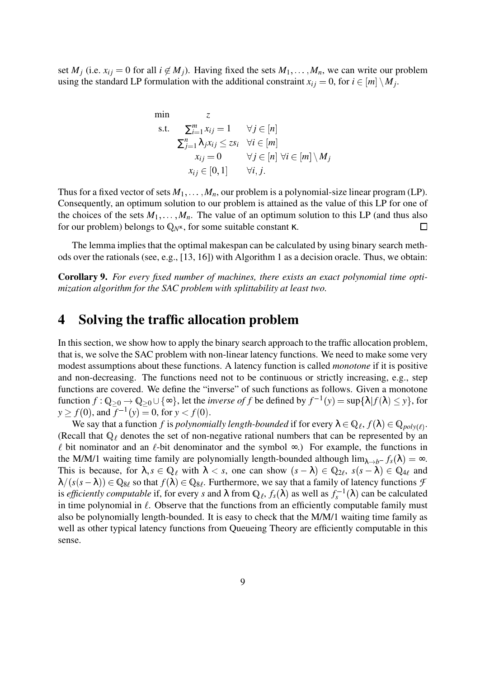set  $M_i$  (i.e.  $x_{ij} = 0$  for all  $i \notin M_i$ ). Having fixed the sets  $M_1, \ldots, M_n$ , we can write our problem using the standard LP formulation with the additional constraint  $x_{ij} = 0$ , for  $i \in [m] \setminus M_j$ .

min 
$$
z
$$
  
\ns.t.  $\sum_{i=1}^{m} x_{ij} = 1 \quad \forall j \in [n]$   
\n $\sum_{j=1}^{n} \lambda_j x_{ij} \leq zs_i \quad \forall i \in [m]$   
\n $x_{ij} = 0 \quad \forall j \in [n] \forall i \in [m] \setminus M_j$   
\n $x_{ij} \in [0, 1] \quad \forall i, j.$ 

Thus for a fixed vector of sets  $M_1, \ldots, M_n$ , our problem is a polynomial-size linear program (LP). Consequently, an optimum solution to our problem is attained as the value of this LP for one of the choices of the sets  $M_1, \ldots, M_n$ . The value of an optimum solution to this LP (and thus also for our problem) belongs to  $Q<sub>N<sup>K</sup></sub>$ , for some suitable constant κ. ப

The lemma implies that the optimal makespan can be calculated by using binary search methods over the rationals (see, e.g., [13, 16]) with Algorithm 1 as a decision oracle. Thus, we obtain:

**Corollary 9.** *For every fixed number of machines, there exists an exact polynomial time optimization algorithm for the SAC problem with splittability at least two.*

### **4 Solving the traffic allocation problem**

In this section, we show how to apply the binary search approach to the traffic allocation problem, that is, we solve the SAC problem with non-linear latency functions. We need to make some very modest assumptions about these functions. A latency function is called *monotone* if it is positive and non-decreasing. The functions need not to be continuous or strictly increasing, e.g., step functions are covered. We define the "inverse" of such functions as follows. Given a monotone  $\text{function } f: \mathbb{Q}_{\geq 0} \to \mathbb{Q}_{\geq 0} \cup \{\infty\}, \text{ let the } \textit{inverse of } f \text{ be defined by } f^{-1}(y) = \sup \{ \lambda | f(\lambda) \leq y \}, \text{ for }$  $y \ge f(0)$ , and  $\overline{f}^{-1}(y) = 0$ , for  $y < f(0)$ .

We say that a function *f* is *polynomially length-bounded* if for every  $\lambda \in \mathbb{Q}_\ell$ ,  $f(\lambda) \in \mathbb{Q}_{poly(\ell)}$ . (Recall that  $\mathbb{Q}_\ell$  denotes the set of non-negative rational numbers that can be represented by an  $\ell$  bit nominator and an  $\ell$ -bit denominator and the symbol  $\infty$ .) For example, the functions in the M/M/1 waiting time family are polynomially length-bounded although  $\lim_{\lambda \to b^-} f_s(\lambda) = \infty$ . This is because, for  $\lambda, s \in \mathbb{Q}_\ell$  with  $\lambda < s$ , one can show  $(s - \lambda) \in \mathbb{Q}_{2\ell}$ ,  $s(s - \lambda) \in \mathbb{Q}_{4\ell}$  and  $\lambda/(s(s-\lambda)) \in \mathbb{Q}_{8\ell}$  so that  $f(\lambda) \in \mathbb{Q}_{8\ell}$ . Furthermore, we say that a family of latency functions *F* is *efficiently computable* if, for every *s* and  $\lambda$  from  $\mathbb{Q}_\ell$ ,  $f_s(\lambda)$  as well as  $f_s^{-1}(\lambda)$  can be calculated in time polynomial in  $\ell$ . Observe that the functions from an efficiently computable family must also be polynomially length-bounded. It is easy to check that the M/M/1 waiting time family as well as other typical latency functions from Queueing Theory are efficiently computable in this sense.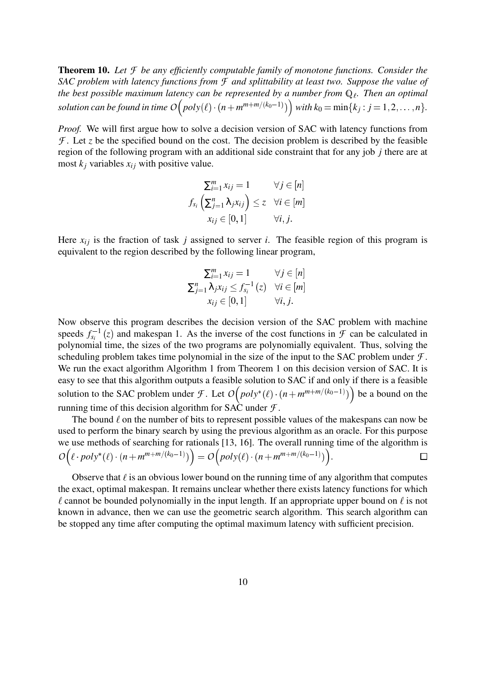**Theorem 10.** *Let F be any efficiently computable family of monotone functions. Consider the SAC problem with latency functions from F and splittability at least two. Suppose the value of the best possible maximum latency can be represented by a number from*  $\mathbb{Q}_l$ *. Then an optimal*  $\mathit{solution can be found in time}$   $\mathit{O}\big(\mathit{poly}(\ell)\cdot(n + m^{m+m/(k_0-1)})\big)$ *with*  $k_0 = \min\{k_j : j = 1, 2, \ldots, n\}.$ 

*Proof.* We will first argue how to solve a decision version of SAC with latency functions from  $\mathcal F$ . Let *z* be the specified bound on the cost. The decision problem is described by the feasible region of the following program with an additional side constraint that for any job *j* there are at most  $k_i$  variables  $x_{ij}$  with positive value.

$$
\sum_{i=1}^{m} x_{ij} = 1 \qquad \forall j \in [n]
$$
  

$$
f_{s_i} \left( \sum_{j=1}^{n} \lambda_j x_{ij} \right) \le z \quad \forall i \in [m]
$$
  

$$
x_{ij} \in [0, 1] \qquad \forall i, j.
$$

Here  $x_{ij}$  is the fraction of task *j* assigned to server *i*. The feasible region of this program is equivalent to the region described by the following linear program,

$$
\sum_{i=1}^{m} x_{ij} = 1 \qquad \forall j \in [n]
$$
  

$$
\sum_{j=1}^{n} \lambda_j x_{ij} \leq f_{s_i}^{-1}(z) \quad \forall i \in [m]
$$
  

$$
x_{ij} \in [0, 1] \qquad \forall i, j.
$$

Now observe this program describes the decision version of the SAC problem with machine speeds  $f_{s_i}^{-1}(z)$  and makespan 1. As the inverse of the cost functions in  $\mathcal F$  can be calculated in polynomial time, the sizes of the two programs are polynomially equivalent. Thus, solving the scheduling problem takes time polynomial in the size of the input to the SAC problem under *F* . We run the exact algorithm Algorithm 1 from Theorem 1 on this decision version of SAC. It is easy to see that this algorithm outputs a feasible solution to SAC if and only if there is a feasible solution to the SAC problem under *F*. Let  $O(poly^*(\ell) \cdot (n + m^{m+m/(k_0-1)})$  be a bound on the running time of this decision algorithm for SAC under  $\mathcal{F}$ .

The bound  $\ell$  on the number of bits to represent possible values of the makespans can now be used to perform the binary search by using the previous algorithm as an oracle. For this purpose we use methods of searching for rationals [13, 16]. The overall running time of the algorithm is  $O((\ell \cdot poly^*(\ell) \cdot (n + m^{m+m/(k_0-1)}))$  $= O(poly(\ell) \cdot (n + m^{m+m/(k_0-1)}))$  $).$ 

Observe that  $\ell$  is an obvious lower bound on the running time of any algorithm that computes the exact, optimal makespan. It remains unclear whether there exists latency functions for which  $\ell$  cannot be bounded polynomially in the input length. If an appropriate upper bound on  $\ell$  is not known in advance, then we can use the geometric search algorithm. This search algorithm can be stopped any time after computing the optimal maximum latency with sufficient precision.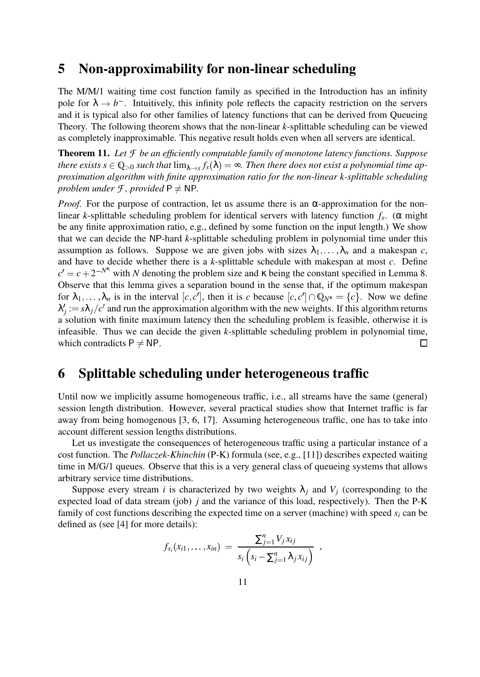### **5 Non-approximability for non-linear scheduling**

The M/M/1 waiting time cost function family as specified in the Introduction has an infinity pole for  $\lambda \to b^-$ . Intuitively, this infinity pole reflects the capacity restriction on the servers and it is typical also for other families of latency functions that can be derived from Queueing Theory. The following theorem shows that the non-linear *k*-splittable scheduling can be viewed as completely inapproximable. This negative result holds even when all servers are identical.

**Theorem 11.** *Let F be an efficiently computable family of monotone latency functions. Suppose* there exists  $s\in\mathbb{Q}_{>0}$  such that  $\lim_{\lambda\to s}f_s(\lambda)=\infty$ . Then there does not exist a polynomial time ap*proximation algorithm with finite approximation ratio for the non-linear k-splittable scheduling problem under*  $\mathcal{F}$ *, provided*  $P \neq NP$ *.* 

*Proof.* For the purpose of contraction, let us assume there is an  $\alpha$ -approximation for the nonlinear *k*-splittable scheduling problem for identical servers with latency function *f<sup>s</sup>* . (α might be any finite approximation ratio, e.g., defined by some function on the input length.) We show that we can decide the NP-hard *k*-splittable scheduling problem in polynomial time under this assumption as follows. Suppose we are given jobs with sizes  $\lambda_1, \ldots, \lambda_n$  and a makespan *c*, and have to decide whether there is a *k*-splittable schedule with makespan at most *c*. Define  $c' = c + 2^{-N^k}$  with *N* denoting the problem size and  $\kappa$  being the constant specified in Lemma 8. Observe that this lemma gives a separation bound in the sense that, if the optimum makespan for  $\lambda_1, \ldots, \lambda_n$  is in the interval  $[c, c']$ , then it is *c* because  $[c, c'] \cap \mathbb{Q}_{N^k} = \{c\}$ . Now we define  $\lambda'_{j} := s\lambda_{j}/c'$  and run the approximation algorithm with the new weights. If this algorithm returns a solution with finite maximum latency then the scheduling problem is feasible, otherwise it is infeasible. Thus we can decide the given *k*-splittable scheduling problem in polynomial time, which contradicts  $P \neq NP$ .  $\Box$ 

## **6 Splittable scheduling under heterogeneous traffic**

Until now we implicitly assume homogeneous traffic, i.e., all streams have the same (general) session length distribution. However, several practical studies show that Internet traffic is far away from being homogenous [3, 6, 17]. Assuming heterogeneous traffic, one has to take into account different session lengths distributions.

Let us investigate the consequences of heterogeneous traffic using a particular instance of a cost function. The *Pollaczek-Khinchin* (P-K) formula (see, e.g., [11]) describes expected waiting time in M/G/1 queues. Observe that this is a very general class of queueing systems that allows arbitrary service time distributions.

Suppose every stream *i* is characterized by two weights  $\lambda_i$  and  $V_i$  (corresponding to the expected load of data stream (job) *j* and the variance of this load, respectively). Then the P-K family of cost functions describing the expected time on a server (machine) with speed *s<sup>i</sup>* can be defined as (see [4] for more details):

$$
f_{s_i}(x_{i1},...,x_{in}) = \frac{\sum_{j=1}^n V_j x_{ij}}{s_i (s_i - \sum_{j=1}^n \lambda_j x_{ij})}.
$$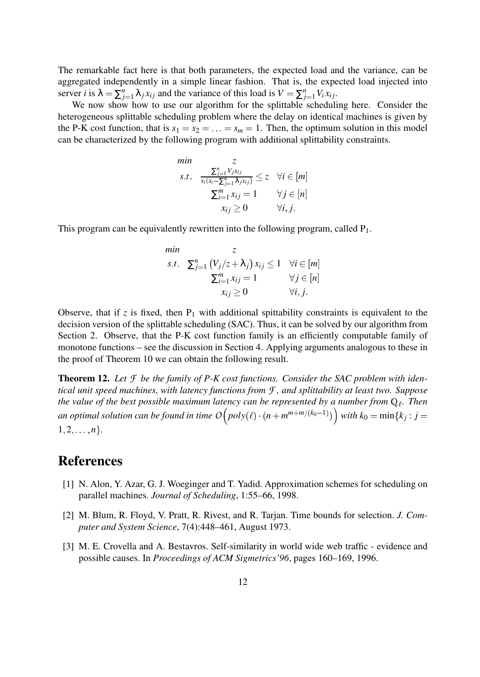The remarkable fact here is that both parameters, the expected load and the variance, can be aggregated independently in a simple linear fashion. That is, the expected load injected into server *i* is  $\lambda = \sum_{i=1}^{n}$  $\sum_{j=1}^{n} \lambda_j x_{ij}$  and the variance of this load is  $V = \sum_{j=1}^{n} V_i x_{ij}$ .

We now show how to use our algorithm for the splittable scheduling here. Consider the heterogeneous splittable scheduling problem where the delay on identical machines is given by the P-K cost function, that is  $s_1 = s_2 = \ldots = s_m = 1$ . Then, the optimum solution in this model can be characterized by the following program with additional splittability constraints.

min  
\n*s.t.* 
$$
\frac{\sum_{j=1}^{n} V_j x_{ij}}{s_i(s_i - \sum_{j=1}^{n} \lambda_j x_{ij})} \le z \quad \forall i \in [m]
$$
\n
$$
\sum_{i=1}^{m} x_{ij} = 1 \qquad \forall j \in [n]
$$
\n
$$
x_{ij} \ge 0 \qquad \forall i, j.
$$

This program can be equivalently rewritten into the following program, called  $P_1$ .

min  
\n*s.t.* 
$$
\sum_{j=1}^{n} (V_j/z + \lambda_j) x_{ij} \le 1 \quad \forall i \in [m]
$$
  
\n $\sum_{i=1}^{m} x_{ij} = 1 \qquad \forall j \in [n]$   
\n $x_{ij} \ge 0 \qquad \forall i, j.$ 

Observe, that if  $z$  is fixed, then  $P_1$  with additional spittability constraints is equivalent to the decision version of the splittable scheduling (SAC). Thus, it can be solved by our algorithm from Section 2. Observe, that the P-K cost function family is an efficiently computable family of monotone functions – see the discussion in Section 4. Applying arguments analogous to these in the proof of Theorem 10 we can obtain the following result.

**Theorem 12.** *Let F be the family of P-K cost functions. Consider the SAC problem with identical unit speed machines, with latency functions from F , and splittability at least two. Suppose the value of the best possible maximum latency can be represented by a number from*  $\mathbb{Q}_\ell$ . Then an optimal solution can be found in time  $O\Big(\mathit{poly}(\ell)\cdot(n + m^{m+m/(k_0-1)})\Big)$ *with*  $k_0 = \min\{k_j : j =$  $1, 2, \ldots, n$ .

## **References**

- [1] N. Alon, Y. Azar, G. J. Woeginger and T. Yadid. Approximation schemes for scheduling on parallel machines. *Journal of Scheduling*, 1:55–66, 1998.
- [2] M. Blum, R. Floyd, V. Pratt, R. Rivest, and R. Tarjan. Time bounds for selection. *J. Computer and System Science*, 7(4):448–461, August 1973.
- [3] M. E. Crovella and A. Bestavros. Self-similarity in world wide web traffic evidence and possible causes. In *Proceedings of ACM Sigmetrics'96*, pages 160–169, 1996.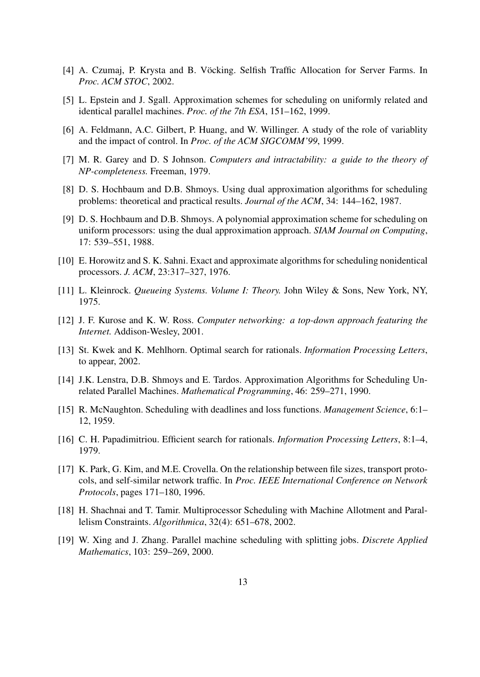- [4] A. Czumaj, P. Krysta and B. Vöcking. Selfish Traffic Allocation for Server Farms. In *Proc. ACM STOC*, 2002.
- [5] L. Epstein and J. Sgall. Approximation schemes for scheduling on uniformly related and identical parallel machines. *Proc. of the 7th ESA*, 151–162, 1999.
- [6] A. Feldmann, A.C. Gilbert, P. Huang, and W. Willinger. A study of the role of variablity and the impact of control. In *Proc. of the ACM SIGCOMM'99*, 1999.
- [7] M. R. Garey and D. S Johnson. *Computers and intractability: a guide to the theory of NP-completeness.* Freeman, 1979.
- [8] D. S. Hochbaum and D.B. Shmoys. Using dual approximation algorithms for scheduling problems: theoretical and practical results. *Journal of the ACM*, 34: 144–162, 1987.
- [9] D. S. Hochbaum and D.B. Shmoys. A polynomial approximation scheme for scheduling on uniform processors: using the dual approximation approach. *SIAM Journal on Computing*, 17: 539–551, 1988.
- [10] E. Horowitz and S. K. Sahni. Exact and approximate algorithms for scheduling nonidentical processors. *J. ACM*, 23:317–327, 1976.
- [11] L. Kleinrock. *Queueing Systems. Volume I: Theory.* John Wiley & Sons, New York, NY, 1975.
- [12] J. F. Kurose and K. W. Ross. *Computer networking: a top-down approach featuring the Internet.* Addison-Wesley, 2001.
- [13] St. Kwek and K. Mehlhorn. Optimal search for rationals. *Information Processing Letters*, to appear, 2002.
- [14] J.K. Lenstra, D.B. Shmoys and E. Tardos. Approximation Algorithms for Scheduling Unrelated Parallel Machines. *Mathematical Programming*, 46: 259–271, 1990.
- [15] R. McNaughton. Scheduling with deadlines and loss functions. *Management Science*, 6:1– 12, 1959.
- [16] C. H. Papadimitriou. Efficient search for rationals. *Information Processing Letters*, 8:1–4, 1979.
- [17] K. Park, G. Kim, and M.E. Crovella. On the relationship between file sizes, transport protocols, and self-similar network traffic. In *Proc. IEEE International Conference on Network Protocols*, pages 171–180, 1996.
- [18] H. Shachnai and T. Tamir. Multiprocessor Scheduling with Machine Allotment and Parallelism Constraints. *Algorithmica*, 32(4): 651–678, 2002.
- [19] W. Xing and J. Zhang. Parallel machine scheduling with splitting jobs. *Discrete Applied Mathematics*, 103: 259–269, 2000.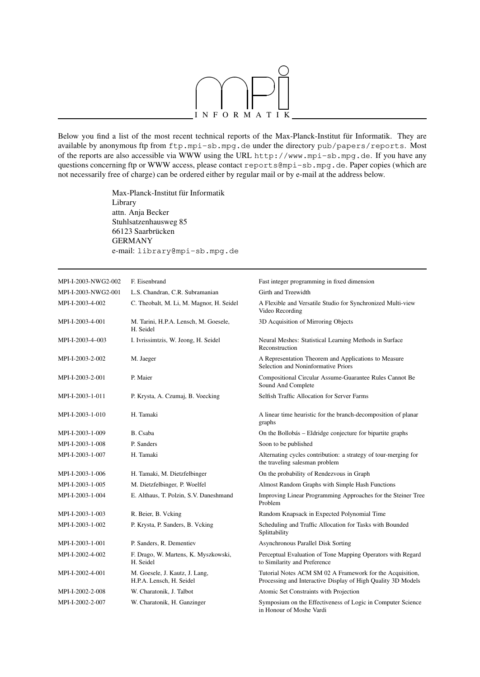

Below you find a list of the most recent technical reports of the Max-Planck-Institut für Informatik. They are available by anonymous ftp from ftp.mpi-sb.mpg.de under the directory pub/papers/reports. Most of the reports are also accessible via WWW using the URL http://www.mpi-sb.mpg.de. If you have any questions concerning ftp or WWW access, please contact reports@mpi-sb.mpg.de. Paper copies (which are not necessarily free of charge) can be ordered either by regular mail or by e-mail at the address below.

> Max-Planck-Institut für Informatik Library attn. Anja Becker Stuhlsatzenhausweg 85 66123 Saarbrücken GERMANY e-mail: library@mpi-sb.mpg.de

| MPI-I-2003-NWG2-002 | F. Eisenbrand                                              | Fast integer programming in fixed dimension                                                                               |
|---------------------|------------------------------------------------------------|---------------------------------------------------------------------------------------------------------------------------|
| MPI-I-2003-NWG2-001 | L.S. Chandran, C.R. Subramanian                            | Girth and Treewidth                                                                                                       |
| MPI-I-2003-4-002    | C. Theobalt, M. Li, M. Magnor, H. Seidel                   | A Flexible and Versatile Studio for Synchronized Multi-view<br>Video Recording                                            |
| MPI-I-2003-4-001    | M. Tarini, H.P.A. Lensch, M. Goesele,<br>H. Seidel         | 3D Acquisition of Mirroring Objects                                                                                       |
| MPI-I-2003-4-003    | I. Ivrissimtzis, W. Jeong, H. Seidel                       | Neural Meshes: Statistical Learning Methods in Surface<br>Reconstruction                                                  |
| MPI-I-2003-2-002    | M. Jaeger                                                  | A Representation Theorem and Applications to Measure<br>Selection and Noninformative Priors                               |
| MPI-I-2003-2-001    | P. Maier                                                   | Compositional Circular Assume-Guarantee Rules Cannot Be<br>Sound And Complete                                             |
| MPI-I-2003-1-011    | P. Krysta, A. Czumaj, B. Voecking                          | Selfish Traffic Allocation for Server Farms                                                                               |
| MPI-I-2003-1-010    | H. Tamaki                                                  | A linear time heuristic for the branch-decomposition of planar<br>graphs                                                  |
| MPI-I-2003-1-009    | B. Csaba                                                   | On the Bollobás – Eldridge conjecture for bipartite graphs                                                                |
| MPI-I-2003-1-008    | P. Sanders                                                 | Soon to be published                                                                                                      |
| MPI-I-2003-1-007    | H. Tamaki                                                  | Alternating cycles contribution: a strategy of tour-merging for<br>the traveling salesman problem                         |
| MPI-I-2003-1-006    | H. Tamaki, M. Dietzfelbinger                               | On the probability of Rendezvous in Graph                                                                                 |
| MPI-I-2003-1-005    | M. Dietzfelbinger, P. Woelfel                              | Almost Random Graphs with Simple Hash Functions                                                                           |
| MPI-I-2003-1-004    | E. Althaus, T. Polzin, S.V. Daneshmand                     | Improving Linear Programming Approaches for the Steiner Tree<br>Problem                                                   |
| MPI-I-2003-1-003    | R. Beier, B. Vcking                                        | Random Knapsack in Expected Polynomial Time                                                                               |
| MPI-I-2003-1-002    | P. Krysta, P. Sanders, B. Vcking                           | Scheduling and Traffic Allocation for Tasks with Bounded<br>Splittability                                                 |
| MPI-I-2003-1-001    | P. Sanders, R. Dementiev                                   | Asynchronous Parallel Disk Sorting                                                                                        |
| MPI-I-2002-4-002    | F. Drago, W. Martens, K. Myszkowski,<br>H. Seidel          | Perceptual Evaluation of Tone Mapping Operators with Regard<br>to Similarity and Preference                               |
| MPI-I-2002-4-001    | M. Goesele, J. Kautz, J. Lang,<br>H.P.A. Lensch, H. Seidel | Tutorial Notes ACM SM 02 A Framework for the Acquisition,<br>Processing and Interactive Display of High Quality 3D Models |
| MPI-I-2002-2-008    | W. Charatonik, J. Talbot                                   | Atomic Set Constraints with Projection                                                                                    |
| MPI-I-2002-2-007    | W. Charatonik, H. Ganzinger                                | Symposium on the Effectiveness of Logic in Computer Science<br>in Honour of Moshe Vardi                                   |